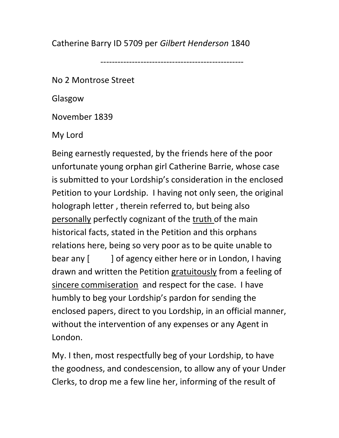Catherine Barry ID 5709 per Gilbert Henderson 1840

--------------------------------------------------

No 2 Montrose Street

Glasgow

November 1839

My Lord

Being earnestly requested, by the friends here of the poor unfortunate young orphan girl Catherine Barrie, whose case is submitted to your Lordship's consideration in the enclosed Petition to your Lordship. I having not only seen, the original holograph letter , therein referred to, but being also personally perfectly cognizant of the truth of the main historical facts, stated in the Petition and this orphans relations here, being so very poor as to be quite unable to bear any [ ] of agency either here or in London, I having drawn and written the Petition gratuitously from a feeling of sincere commiseration and respect for the case. I have humbly to beg your Lordship's pardon for sending the enclosed papers, direct to you Lordship, in an official manner, without the intervention of any expenses or any Agent in London.

My. I then, most respectfully beg of your Lordship, to have the goodness, and condescension, to allow any of your Under Clerks, to drop me a few line her, informing of the result of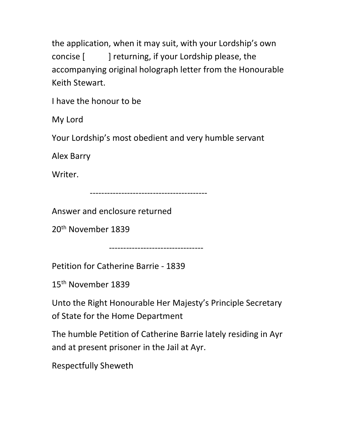the application, when it may suit, with your Lordship's own concise [ ] returning, if your Lordship please, the accompanying original holograph letter from the Honourable Keith Stewart.

I have the honour to be

My Lord

Your Lordship's most obedient and very humble servant

Alex Barry

Writer.

-----------------------------------------

Answer and enclosure returned

20th November 1839

---------------------------------

Petition for Catherine Barrie - 1839

15th November 1839

Unto the Right Honourable Her Majesty's Principle Secretary of State for the Home Department

The humble Petition of Catherine Barrie lately residing in Ayr and at present prisoner in the Jail at Ayr.

Respectfully Sheweth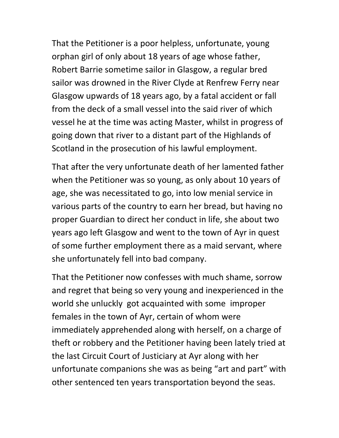That the Petitioner is a poor helpless, unfortunate, young orphan girl of only about 18 years of age whose father, Robert Barrie sometime sailor in Glasgow, a regular bred sailor was drowned in the River Clyde at Renfrew Ferry near Glasgow upwards of 18 years ago, by a fatal accident or fall from the deck of a small vessel into the said river of which vessel he at the time was acting Master, whilst in progress of going down that river to a distant part of the Highlands of Scotland in the prosecution of his lawful employment.

That after the very unfortunate death of her lamented father when the Petitioner was so young, as only about 10 years of age, she was necessitated to go, into low menial service in various parts of the country to earn her bread, but having no proper Guardian to direct her conduct in life, she about two years ago left Glasgow and went to the town of Ayr in quest of some further employment there as a maid servant, where she unfortunately fell into bad company.

That the Petitioner now confesses with much shame, sorrow and regret that being so very young and inexperienced in the world she unluckly got acquainted with some improper females in the town of Ayr, certain of whom were immediately apprehended along with herself, on a charge of theft or robbery and the Petitioner having been lately tried at the last Circuit Court of Justiciary at Ayr along with her unfortunate companions she was as being "art and part" with other sentenced ten years transportation beyond the seas.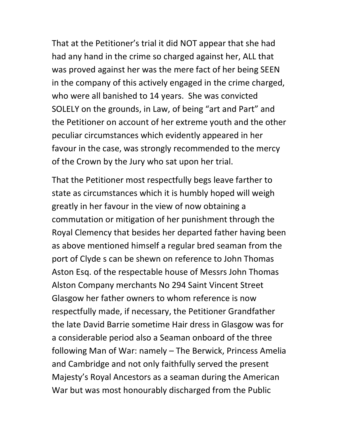That at the Petitioner's trial it did NOT appear that she had had any hand in the crime so charged against her, ALL that was proved against her was the mere fact of her being SEEN in the company of this actively engaged in the crime charged, who were all banished to 14 years. She was convicted SOLELY on the grounds, in Law, of being "art and Part" and the Petitioner on account of her extreme youth and the other peculiar circumstances which evidently appeared in her favour in the case, was strongly recommended to the mercy of the Crown by the Jury who sat upon her trial.

That the Petitioner most respectfully begs leave farther to state as circumstances which it is humbly hoped will weigh greatly in her favour in the view of now obtaining a commutation or mitigation of her punishment through the Royal Clemency that besides her departed father having been as above mentioned himself a regular bred seaman from the port of Clyde s can be shewn on reference to John Thomas Aston Esq. of the respectable house of Messrs John Thomas Alston Company merchants No 294 Saint Vincent Street Glasgow her father owners to whom reference is now respectfully made, if necessary, the Petitioner Grandfather the late David Barrie sometime Hair dress in Glasgow was for a considerable period also a Seaman onboard of the three following Man of War: namely – The Berwick, Princess Amelia and Cambridge and not only faithfully served the present Majesty's Royal Ancestors as a seaman during the American War but was most honourably discharged from the Public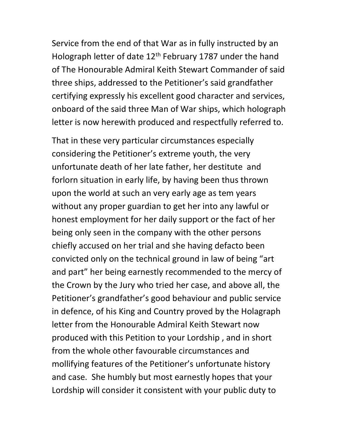Service from the end of that War as in fully instructed by an Holograph letter of date  $12<sup>th</sup>$  February 1787 under the hand of The Honourable Admiral Keith Stewart Commander of said three ships, addressed to the Petitioner's said grandfather certifying expressly his excellent good character and services, onboard of the said three Man of War ships, which holograph letter is now herewith produced and respectfully referred to.

That in these very particular circumstances especially considering the Petitioner's extreme youth, the very unfortunate death of her late father, her destitute and forlorn situation in early life, by having been thus thrown upon the world at such an very early age as tem years without any proper guardian to get her into any lawful or honest employment for her daily support or the fact of her being only seen in the company with the other persons chiefly accused on her trial and she having defacto been convicted only on the technical ground in law of being "art and part" her being earnestly recommended to the mercy of the Crown by the Jury who tried her case, and above all, the Petitioner's grandfather's good behaviour and public service in defence, of his King and Country proved by the Holagraph letter from the Honourable Admiral Keith Stewart now produced with this Petition to your Lordship , and in short from the whole other favourable circumstances and mollifying features of the Petitioner's unfortunate history and case. She humbly but most earnestly hopes that your Lordship will consider it consistent with your public duty to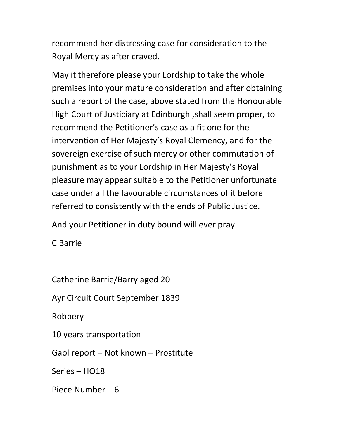recommend her distressing case for consideration to the Royal Mercy as after craved.

May it therefore please your Lordship to take the whole premises into your mature consideration and after obtaining such a report of the case, above stated from the Honourable High Court of Justiciary at Edinburgh ,shall seem proper, to recommend the Petitioner's case as a fit one for the intervention of Her Majesty's Royal Clemency, and for the sovereign exercise of such mercy or other commutation of punishment as to your Lordship in Her Majesty's Royal pleasure may appear suitable to the Petitioner unfortunate case under all the favourable circumstances of it before referred to consistently with the ends of Public Justice.

And your Petitioner in duty bound will ever pray.

C Barrie

Catherine Barrie/Barry aged 20

Ayr Circuit Court September 1839

Robbery

10 years transportation

Gaol report – Not known – Prostitute

Series – HO18

Piece Number – 6